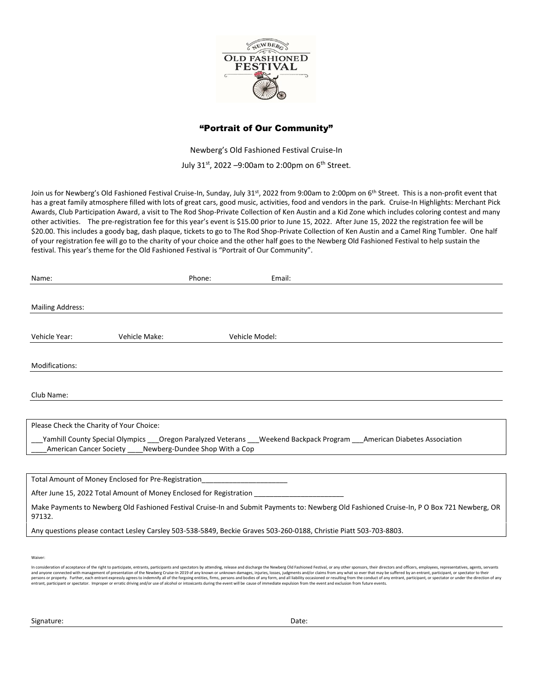

## "Portrait of Our Community"

Newberg's Old Fashioned Festival Cruise-In July 31st, 2022 –9:00am to 2:00pm on  $6<sup>th</sup>$  Street.

Join us for Newberg's Old Fashioned Festival Cruise-In, Sunday, July 31st, 2022 from 9:00am to 2:00pm on 6<sup>th</sup> Street. This is a non-profit event that has a great family atmosphere filled with lots of great cars, good music, activities, food and vendors in the park. Cruise-In Highlights: Merchant Pick Awards, Club Participation Award, a visit to The Rod Shop-Private Collection of Ken Austin and a Kid Zone which includes coloring contest and many other activities. The pre-registration fee for this year's event is \$15.00 prior to June 15, 2022. After June 15, 2022 the registration fee will be \$20.00. This includes a goody bag, dash plaque, tickets to go to The Rod Shop-Private Collection of Ken Austin and a Camel Ring Tumbler. One half of your registration fee will go to the charity of your choice and the other half goes to the Newberg Old Fashioned Festival to help sustain the festival. This year's theme for the Old Fashioned Festival is "Portrait of Our Community".

| Name:                                    |                                                             | Phone: | Email:                                                                                                                       |  |  |
|------------------------------------------|-------------------------------------------------------------|--------|------------------------------------------------------------------------------------------------------------------------------|--|--|
|                                          |                                                             |        |                                                                                                                              |  |  |
| <b>Mailing Address:</b>                  |                                                             |        |                                                                                                                              |  |  |
| Vehicle Year:                            | Vehicle Make:                                               |        | Vehicle Model:                                                                                                               |  |  |
| Modifications:                           |                                                             |        |                                                                                                                              |  |  |
| Club Name:                               |                                                             |        |                                                                                                                              |  |  |
|                                          |                                                             |        |                                                                                                                              |  |  |
| Please Check the Charity of Your Choice: |                                                             |        |                                                                                                                              |  |  |
|                                          | American Cancer Society ____ Newberg-Dundee Shop With a Cop |        | Yamhill County Special Olympics ____Oregon Paralyzed Veterans ____Weekend Backpack Program ____American Diabetes Association |  |  |
|                                          |                                                             |        |                                                                                                                              |  |  |

Total Amount of Money Enclosed for Pre-Registration

After June 15, 2022 Total Amount of Money Enclosed for Registration

Make Payments to Newberg Old Fashioned Festival Cruise-In and Submit Payments to: Newberg Old Fashioned Cruise-In, P O Box 721 Newberg, OR 97132.

Any questions please contact Lesley Carsley 503-538-5849, Beckie Graves 503-260-0188, Christie Piatt 503-703-8803.

Waiver:

In consideration of acceptance of the right to participate, entrants, participants and spectators by attending, release and discharge the Newberg Old Fashioned Festival, or any other sponsors, their directors and officers, .<br>entrant, participant or spectator. Improper or erratic driving and/or use of alcohol or intoxicants during the event will be cause of immediate expulsion from the event and exclusion from tuture events